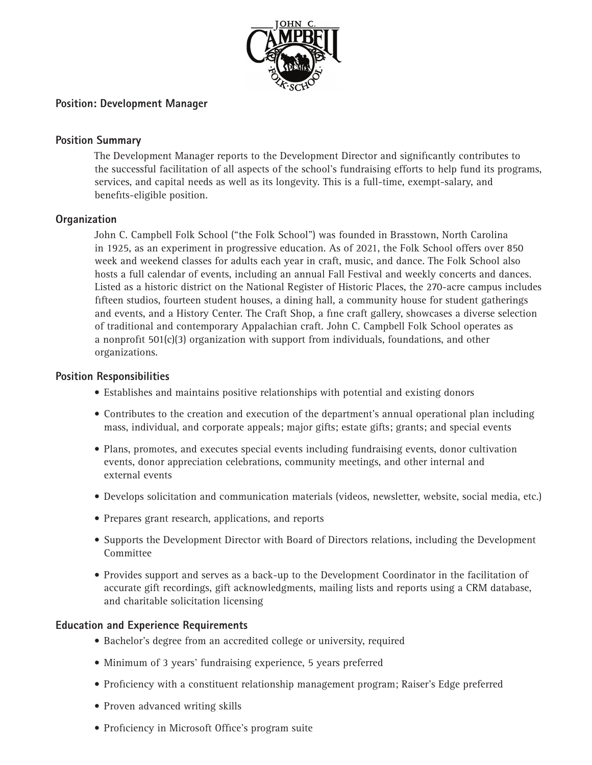

# **Position: Development Manager**

## **Position Summary**

The Development Manager reports to the Development Director and significantly contributes to the successful facilitation of all aspects of the school's fundraising efforts to help fund its programs, services, and capital needs as well as its longevity. This is a full-time, exempt-salary, and benefits-eligible position.

## **Organization**

John C. Campbell Folk School ("the Folk School") was founded in Brasstown, North Carolina in 1925, as an experiment in progressive education. As of 2021, the Folk School offers over 850 week and weekend classes for adults each year in craft, music, and dance. The Folk School also hosts a full calendar of events, including an annual Fall Festival and weekly concerts and dances. Listed as a historic district on the National Register of Historic Places, the 270-acre campus includes fifteen studios, fourteen student houses, a dining hall, a community house for student gatherings and events, and a History Center. The Craft Shop, a fine craft gallery, showcases a diverse selection of traditional and contemporary Appalachian craft. John C. Campbell Folk School operates as a nonprofit 501(c)(3) organization with support from individuals, foundations, and other organizations.

#### **Position Responsibilities**

- Establishes and maintains positive relationships with potential and existing donors
- Contributes to the creation and execution of the department's annual operational plan including mass, individual, and corporate appeals; major gifts; estate gifts; grants; and special events
- Plans, promotes, and executes special events including fundraising events, donor cultivation events, donor appreciation celebrations, community meetings, and other internal and external events
- Develops solicitation and communication materials (videos, newsletter, website, social media, etc.)
- Prepares grant research, applications, and reports
- Supports the Development Director with Board of Directors relations, including the Development Committee
- Provides support and serves as a back-up to the Development Coordinator in the facilitation of accurate gift recordings, gift acknowledgments, mailing lists and reports using a CRM database, and charitable solicitation licensing

## **Education and Experience Requirements**

- Bachelor's degree from an accredited college or university, required
- Minimum of 3 years' fundraising experience, 5 years preferred
- Proficiency with a constituent relationship management program; Raiser's Edge preferred
- Proven advanced writing skills
- Proficiency in Microsoft Office's program suite